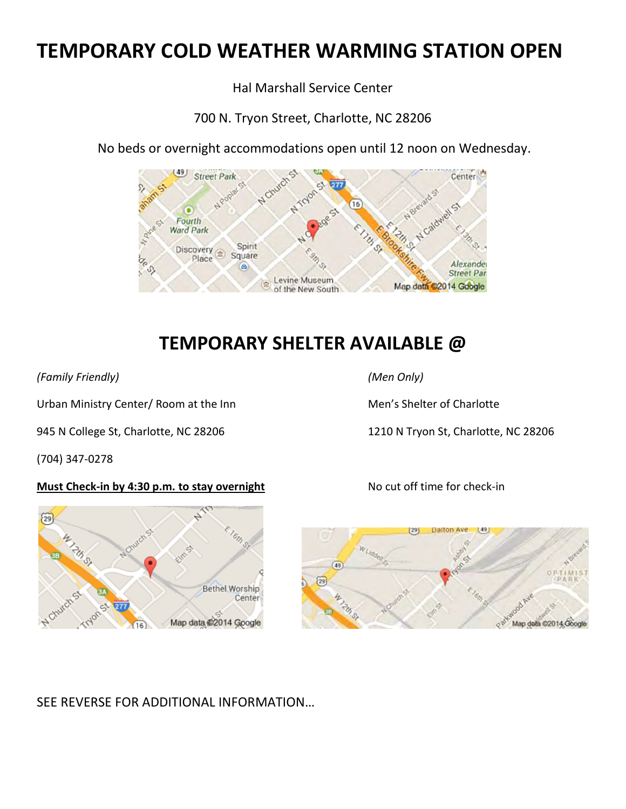# **TEMPORARY COLD WEATHER WARMING STATION OPEN**

Hal Marshall Service Center

700 N. Tryon Street, Charlotte, NC 28206



No beds or overnight accommodations open until 12 noon on Wednesday.

## **TEMPORARY SHELTER AVAILABLE @**

*(Family Friendly) (Men Only)* 

Urban Ministry Center/ Room at the Inn Men's Shelter of Charlotte

945 N College St, Charlotte, NC 28206 1210 N Tryon St, Charlotte, NC 28206

(704) 347-0278

#### **Must Check-in by 4:30 p.m. to stay overnight** No cut off time for check-in





SEE REVERSE FOR ADDITIONAL INFORMATION…